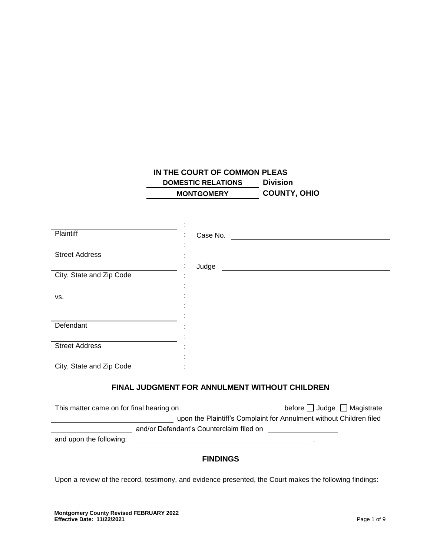# **IN THE COURT OF COMMON PLEAS DOMESTIC RELATIONS Division MONTGOMERY COUNTY, OHIO**

| Plaintiff                | Case No.                                      |
|--------------------------|-----------------------------------------------|
| <b>Street Address</b>    |                                               |
| City, State and Zip Code | Judge                                         |
| VS.                      |                                               |
|                          |                                               |
| Defendant                |                                               |
| <b>Street Address</b>    |                                               |
| City, State and Zip Code |                                               |
|                          | FINAL JUDGMENT FOR ANNULMENT WITHOUT CHILDREN |

| This matter came on for final hearing on | before $\Box$ Judge $\Box$ Magistrate                               |
|------------------------------------------|---------------------------------------------------------------------|
|                                          | upon the Plaintiff's Complaint for Annulment without Children filed |
| and/or Defendant's Counterclaim filed on |                                                                     |
| and upon the following:                  |                                                                     |

## **FINDINGS**

Upon a review of the record, testimony, and evidence presented, the Court makes the following findings: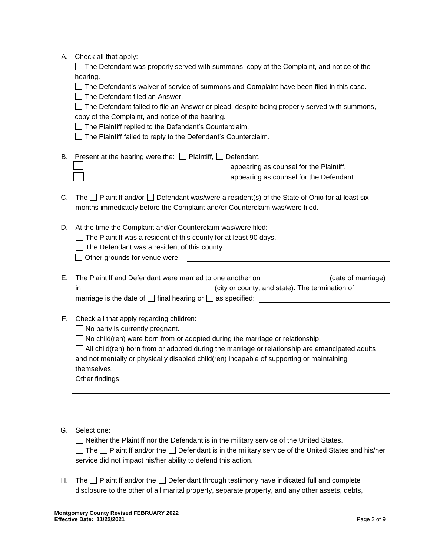| Check all that apply:<br>А. |  |
|-----------------------------|--|
|-----------------------------|--|

 $\Box$  The Defendant was properly served with summons, copy of the Complaint, and notice of the hearing.

 $\Box$  The Defendant's waiver of service of summons and Complaint have been filed in this case.

 $\Box$  The Defendant filed an Answer.

 $\Box$  The Defendant failed to file an Answer or plead, despite being properly served with summons, copy of the Complaint, and notice of the hearing.

 $\Box$  The Plaintiff replied to the Defendant's Counterclaim.

 $\Box$  The Plaintiff failed to reply to the Defendant's Counterclaim.

- B. Present at the hearing were the:  $\Box$  Plaintiff,  $\Box$  Defendant, **appearing as counsel for the Plaintiff. Appearing as counsel for the Defendant.**
- C. The  $\Box$  Plaintiff and/or  $\Box$  Defendant was/were a resident(s) of the State of Ohio for at least six months immediately before the Complaint and/or Counterclaim was/were filed.
- D. At the time the Complaint and/or Counterclaim was/were filed:
	- $\Box$  The Plaintiff was a resident of this county for at least 90 days.
	- $\Box$  The Defendant was a resident of this county.

**□ Other grounds for venue were:** 

| Е. | The Plaintiff and Defendant were married to one another on           |                                                 | (date of marriage) |
|----|----------------------------------------------------------------------|-------------------------------------------------|--------------------|
|    |                                                                      | (city or county, and state). The termination of |                    |
|    | marriage is the date of $\Box$ final hearing or $\Box$ as specified: |                                                 |                    |

F. Check all that apply regarding children:

 $\Box$  No party is currently pregnant.

 $\Box$  No child(ren) were born from or adopted during the marriage or relationship.

| $\Box$ All child(ren) born from or adopted during the marriage or relationship are emancipated adults |
|-------------------------------------------------------------------------------------------------------|
| and not mentally or physically disabled child(ren) incapable of supporting or maintaining             |
| themselves.                                                                                           |

Other findings: **Example 2018** 

## G. Select one:

 $\Box$  Neither the Plaintiff nor the Defendant is in the military service of the United States.

The  $\Box$  Plaintiff and/or the  $\Box$  Defendant is in the military service of the United States and his/her service did not impact his/her ability to defend this action.

H. The  $\Box$  Plaintiff and/or the  $\Box$  Defendant through testimony have indicated full and complete disclosure to the other of all marital property, separate property, and any other assets, debts,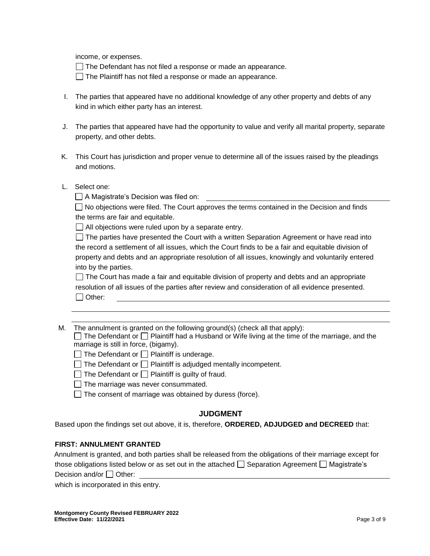income, or expenses.

 $\Box$  The Defendant has not filed a response or made an appearance.

 $\Box$  The Plaintiff has not filed a response or made an appearance.

- I. The parties that appeared have no additional knowledge of any other property and debts of any kind in which either party has an interest.
- J. The parties that appeared have had the opportunity to value and verify all marital property, separate property, and other debts.
- K. This Court has jurisdiction and proper venue to determine all of the issues raised by the pleadings and motions.
- L. Select one:

A Magistrate's Decision was filed on:

 $\Box$  No objections were filed. The Court approves the terms contained in the Decision and finds the terms are fair and equitable.

 $\Box$  All objections were ruled upon by a separate entry.

 $\Box$  The parties have presented the Court with a written Separation Agreement or have read into the record a settlement of all issues, which the Court finds to be a fair and equitable division of property and debts and an appropriate resolution of all issues, knowingly and voluntarily entered into by the parties.

 $\Box$  The Court has made a fair and equitable division of property and debts and an appropriate resolution of all issues of the parties after review and consideration of all evidence presented. □ Other:

M. The annulment is granted on the following ground(s) (check all that apply):  $\Box$  The Defendant or  $\Box$  Plaintiff had a Husband or Wife living at the time of the marriage, and the marriage is still in force, (bigamy).

 $\Box$  The Defendant or  $\Box$  Plaintiff is underage.

- $\Box$  The Defendant or  $\Box$  Plaintiff is adjudged mentally incompetent.
- $\Box$  The Defendant or  $\Box$  Plaintiff is guilty of fraud.
- $\Box$  The marriage was never consummated.
- $\Box$  The consent of marriage was obtained by duress (force).

## **JUDGMENT**

Based upon the findings set out above, it is, therefore, **ORDERED, ADJUDGED and DECREED** that:

## **FIRST: ANNULMENT GRANTED**

Annulment is granted, and both parties shall be released from the obligations of their marriage except for those obligations listed below or as set out in the attached  $\Box$  Separation Agreement  $\Box$  Magistrate's Decision and/or  $\Box$  Other:

which is incorporated in this entry.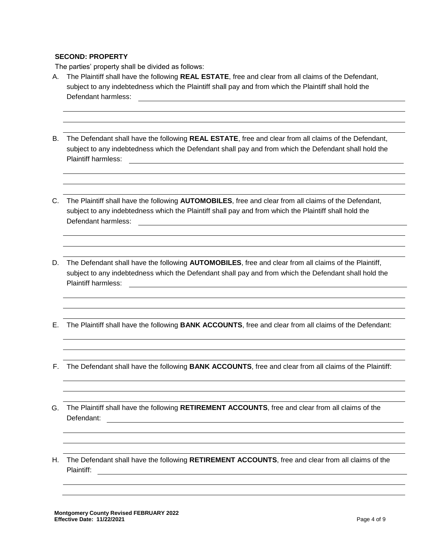### **SECOND: PROPERTY**

The parties' property shall be divided as follows:

- A. The Plaintiff shall have the following **REAL ESTATE**, free and clear from all claims of the Defendant, subject to any indebtedness which the Plaintiff shall pay and from which the Plaintiff shall hold the Defendant harmless:
- B. The Defendant shall have the following **REAL ESTATE**, free and clear from all claims of the Defendant, subject to any indebtedness which the Defendant shall pay and from which the Defendant shall hold the Plaintiff harmless:
- C. The Plaintiff shall have the following **AUTOMOBILES**, free and clear from all claims of the Defendant, subject to any indebtedness which the Plaintiff shall pay and from which the Plaintiff shall hold the Defendant harmless:
- D. The Defendant shall have the following **AUTOMOBILES**, free and clear from all claims of the Plaintiff, subject to any indebtedness which the Defendant shall pay and from which the Defendant shall hold the Plaintiff harmless:<br>
Plaintiff harmless:
- E. The Plaintiff shall have the following **BANK ACCOUNTS**, free and clear from all claims of the Defendant:
- F. The Defendant shall have the following **BANK ACCOUNTS**, free and clear from all claims of the Plaintiff:
- G. The Plaintiff shall have the following **RETIREMENT ACCOUNTS**, free and clear from all claims of the Defendant:
- H. The Defendant shall have the following **RETIREMENT ACCOUNTS**, free and clear from all claims of the Plaintiff: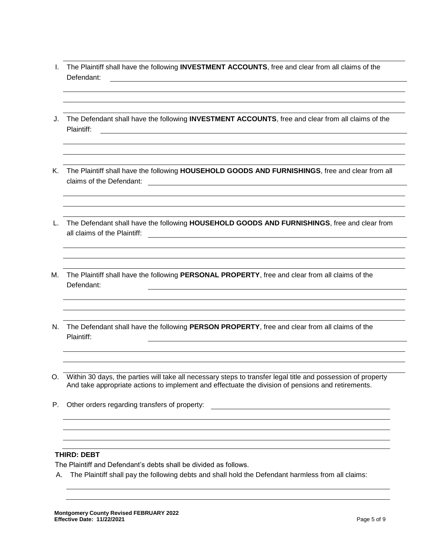- I. The Plaintiff shall have the following **INVESTMENT ACCOUNTS**, free and clear from all claims of the Defendant:
- J. The Defendant shall have the following **INVESTMENT ACCOUNTS**, free and clear from all claims of the Plaintiff:
- K. The Plaintiff shall have the following **HOUSEHOLD GOODS AND FURNISHINGS**, free and clear from all claims of the Defendant:
- L. The Defendant shall have the following **HOUSEHOLD GOODS AND FURNISHINGS**, free and clear from all claims of the Plaintiff:  $\qquad \qquad \qquad$
- M. The Plaintiff shall have the following **PERSONAL PROPERTY**, free and clear from all claims of the Defendant:
- N. The Defendant shall have the following **PERSON PROPERTY**, free and clear from all claims of the Plaintiff:
- O. Within 30 days, the parties will take all necessary steps to transfer legal title and possession of property And take appropriate actions to implement and effectuate the division of pensions and retirements.
- P. Other orders regarding transfers of property:

### **THIRD: DEBT**

The Plaintiff and Defendant's debts shall be divided as follows.

A. The Plaintiff shall pay the following debts and shall hold the Defendant harmless from all claims: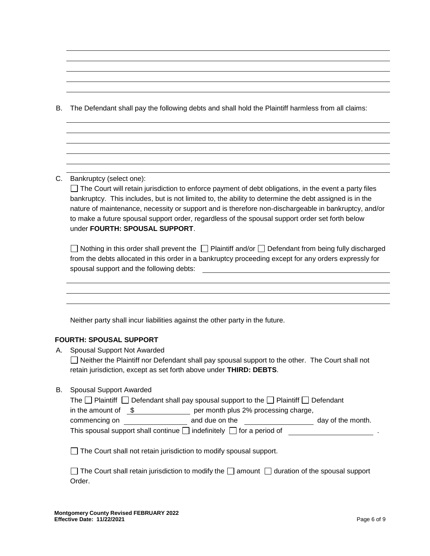B. The Defendant shall pay the following debts and shall hold the Plaintiff harmless from all claims:

## C. Bankruptcy (select one):

 $\Box$  The Court will retain jurisdiction to enforce payment of debt obligations, in the event a party files bankruptcy. This includes, but is not limited to, the ability to determine the debt assigned is in the nature of maintenance, necessity or support and is therefore non-dischargeable in bankruptcy, and/or to make a future spousal support order, regardless of the spousal support order set forth below under **FOURTH: SPOUSAL SUPPORT**.

| $\Box$ Nothing in this order shall prevent the $\Box$ Plaintiff and/or $\Box$ Defendant from being fully discharged |
|---------------------------------------------------------------------------------------------------------------------|
| from the debts allocated in this order in a bankruptcy proceeding except for any orders expressly for               |
| spousal support and the following debts:                                                                            |

Neither party shall incur liabilities against the other party in the future.

#### **FOURTH: SPOUSAL SUPPORT**

A. Spousal Support Not Awarded

Neither the Plaintiff nor Defendant shall pay spousal support to the other. The Court shall not retain jurisdiction, except as set forth above under **THIRD: DEBTS**.

B. Spousal Support Awarded

| The $\Box$ Plaintiff $\Box$ Defendant shall pay spousal support to the $\Box$ Plaintiff $\Box$ Defendant |                                      |                   |  |
|----------------------------------------------------------------------------------------------------------|--------------------------------------|-------------------|--|
| in the amount of \$                                                                                      | per month plus 2% processing charge, |                   |  |
| commencing on                                                                                            | and due on the                       | day of the month. |  |
| This spousal support shall continue $\Box$ indefinitely $\Box$ for a period of<br>. .                    |                                      |                   |  |

The Court shall not retain jurisdiction to modify spousal support.

| $\Box$ The Court shall retain jurisdiction to modify the $\Box$ amount $\Box$ duration of the spousal support |  |  |
|---------------------------------------------------------------------------------------------------------------|--|--|
| Order.                                                                                                        |  |  |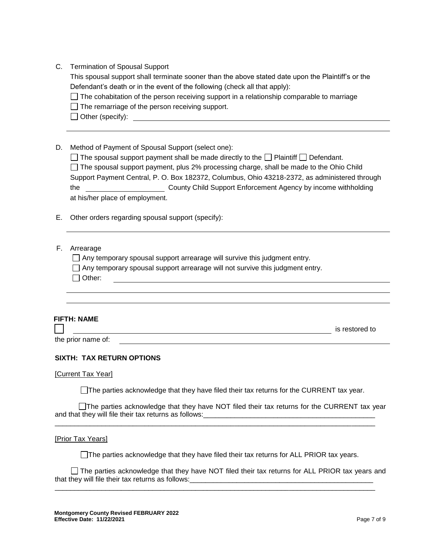| C. | <b>Termination of Spousal Support</b> |  |  |
|----|---------------------------------------|--|--|
|----|---------------------------------------|--|--|

This spousal support shall terminate sooner than the above stated date upon the Plaintiff's or the Defendant's death or in the event of the following (check all that apply):

 $\Box$  The cohabitation of the person receiving support in a relationship comparable to marriage

 $\Box$  The remarriage of the person receiving support.

- Other (specify):
- D. Method of Payment of Spousal Support (select one):

|                                                                                               | $\Box$ The spousal support payment shall be made directly to the $\Box$ Plaintiff $\Box$ Defendant. |  |
|-----------------------------------------------------------------------------------------------|-----------------------------------------------------------------------------------------------------|--|
|                                                                                               | $\Box$ The spousal support payment, plus 2% processing charge, shall be made to the Ohio Child      |  |
| Support Payment Central, P. O. Box 182372, Columbus, Ohio 43218-2372, as administered through |                                                                                                     |  |
| the                                                                                           | County Child Support Enforcement Agency by income withholding                                       |  |
| at his/her place of employment.                                                               |                                                                                                     |  |

- E. Other orders regarding spousal support (specify):
- F. Arrearage

 $\Box$  Any temporary spousal support arrearage will survive this judgment entry.

 $\Box$  Any temporary spousal support arrearage will not survive this judgment entry.

|  | Other |
|--|-------|
|--|-------|

## **FIFTH: NAME**

 $\blacksquare$ 

**is restored to** is restored to

the prior name of:

## **SIXTH: TAX RETURN OPTIONS**

[Current Tax Year]

The parties acknowledge that they have filed their tax returns for the CURRENT tax year.

The parties acknowledge that they have NOT filed their tax returns for the CURRENT tax year and that they will file their tax returns as follows:\_\_\_\_\_\_\_\_\_\_\_\_\_\_\_\_\_\_\_\_\_\_\_\_\_\_\_\_\_\_\_\_\_\_\_\_\_\_\_\_\_\_\_\_

\_\_\_\_\_\_\_\_\_\_\_\_\_\_\_\_\_\_\_\_\_\_\_\_\_\_\_\_\_\_\_\_\_\_\_\_\_\_\_\_\_\_\_\_\_\_\_\_\_\_\_\_\_\_\_\_\_\_\_\_\_\_\_\_\_\_\_\_\_\_\_\_\_\_\_\_\_\_\_\_\_\_

[Prior Tax Years]

 $\Box$  The parties acknowledge that they have filed their tax returns for ALL PRIOR tax years.

The parties acknowledge that they have NOT filed their tax returns for ALL PRIOR tax years and that they will file their tax returns as follows: \_\_\_\_\_\_\_\_\_\_\_\_\_\_\_\_\_\_\_\_\_\_\_\_\_\_\_\_\_\_

\_\_\_\_\_\_\_\_\_\_\_\_\_\_\_\_\_\_\_\_\_\_\_\_\_\_\_\_\_\_\_\_\_\_\_\_\_\_\_\_\_\_\_\_\_\_\_\_\_\_\_\_\_\_\_\_\_\_\_\_\_\_\_\_\_\_\_\_\_\_\_\_\_\_\_\_\_\_\_\_\_\_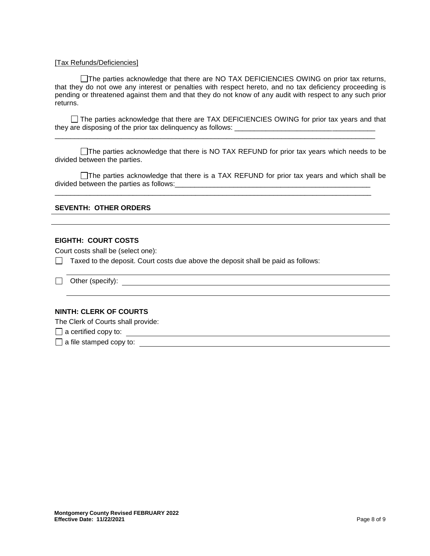#### [Tax Refunds/Deficiencies]

□The parties acknowledge that there are NO TAX DEFICIENCIES OWING on prior tax returns, that they do not owe any interest or penalties with respect hereto, and no tax deficiency proceeding is pending or threatened against them and that they do not know of any audit with respect to any such prior returns.

 $\Box$  The parties acknowledge that there are TAX DEFICIENCIES OWING for prior tax years and that they are disposing of the prior tax delinquency as follows: \_\_\_\_\_\_\_\_\_\_\_\_\_\_\_\_\_\_\_\_\_\_\_\_\_\_\_\_\_\_\_\_\_\_\_\_

\_\_\_\_\_\_\_\_\_\_\_\_\_\_\_\_\_\_\_\_\_\_\_\_\_\_\_\_\_\_\_\_\_\_\_\_\_\_\_\_\_\_\_\_\_\_\_\_\_\_\_\_\_\_\_\_\_\_\_\_\_\_\_\_\_\_\_\_\_\_\_\_\_\_\_\_\_\_\_\_\_\_

The parties acknowledge that there is NO TAX REFUND for prior tax years which needs to be divided between the parties.

The parties acknowledge that there is a TAX REFUND for prior tax years and which shall be divided between the parties as follows:

\_\_\_\_\_\_\_\_\_\_\_\_\_\_\_\_\_\_\_\_\_\_\_\_\_\_\_\_\_\_\_\_\_\_\_\_\_\_\_\_\_\_\_\_\_\_\_\_\_\_\_\_\_\_\_\_\_\_\_\_\_\_\_\_\_\_\_\_\_\_\_\_\_\_\_\_\_\_\_\_\_

### **SEVENTH: OTHER ORDERS**

#### **EIGHTH: COURT COSTS**

Court costs shall be (select one):

 $\Box$  Taxed to the deposit. Court costs due above the deposit shall be paid as follows:

Other (specify):

#### **NINTH: CLERK OF COURTS**

The Clerk of Courts shall provide:

a certified copy to:

a file stamped copy to: